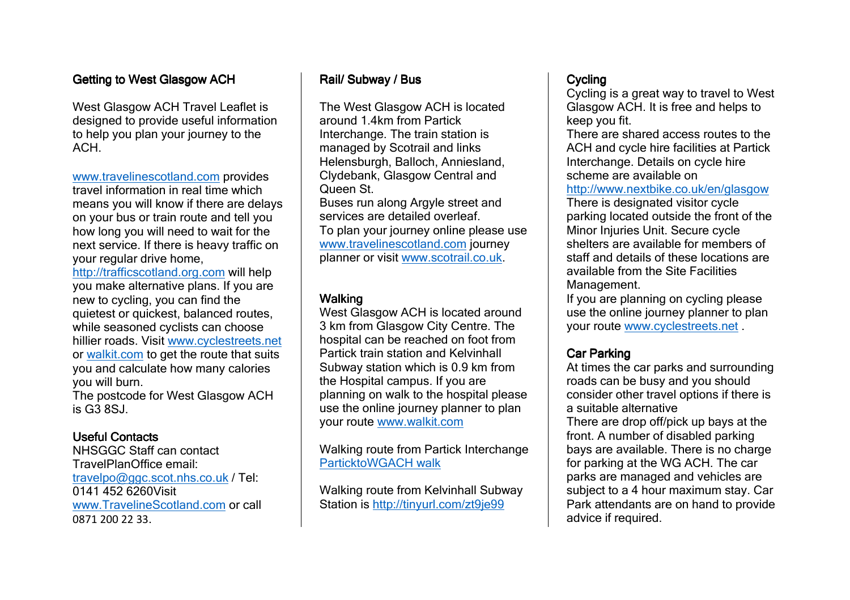# Getting to West Glasgow ACH

West Glasgow ACH Travel Leaflet is designed to provide useful information to help you plan your journey to the  $ACH$ 

www.travelinescotland.com provides travel information in real time which means you will know if there are delays on your bus or train route and tell you how long you will need to wait for the next service. If there is heavy traffic on your regular drive home,

http://trafficscotland.org.com will help you make alternative plans. If you are new to cycling, you can find the quietest or quickest, balanced routes, while seasoned cyclists can choose hillier roads. Visit www.cyclestreets.net or walkit.com to get the route that suits<br>wou and calculate how many calcries you and calculate how many calories you will burn.

 The postcode for West Glasgow ACH is G3 8SJ.

#### Useful Contacts

 NHSGGC Staff can contact TravelPlanOffice email: travelpo@ggc.scot.nhs.co.uk / Tel: 0141 452 6260Visit www.TravelineScotland.com or call 0871 200 22 33.

## Rail/ Subway / Bus

The West Glasgow ACH is located around 1.4km from Partick Interchange. The train station is managed by Scotrail and links Helensburgh, Balloch, Anniesland, Clydebank, Glasgow Central and Queen St. Buses run along Argyle street and services are detailed overleaf. To plan your journey online please use www.travelinescotland.com journey planner or visit www.scotrail.co.uk.

#### Walking

 West Glasgow ACH is located around 3 km from Glasgow City Centre. The hospital can be reached on foot from Partick train station and Kelvinhall Subway station which is 0.9 km from the Hospital campus. If you are planning on walk to the hospital please use the online journey planner to plan your route www.walkit.com

Walking route from Partick Interchange ParticktoWGACH walk

Walking route from Kelvinhall Subway Station is http://tinyurl.com/zt9je99

#### **Cycling**

 Cycling is a great way to travel to West Glasgow ACH. It is free and helps to keep you fit.

 There are shared access routes to the ACH and cycle hire facilities at Partick Interchange. Details on cycle hire scheme are available on

#### http://www.nextbike.co.uk/en/glasgow

There is designated visitor cycle parking located outside the front of the Minor Injuries Unit. Secure cycle shelters are available for members of staff and details of these locations are available from the Site Facilities Management.

 If you are planning on cycling please use the online journey planner to plan your route www.cyclestreets.net .

### **Car Parking**

 At times the car parks and surrounding roads can be busy and you should consider other travel options if there is a suitable alternative

 There are drop off/pick up bays at the front. A number of disabled parking bays are available. There is no charge for parking at the WG ACH. The car parks are managed and vehicles are subject to a 4 hour maximum stay. Car Park attendants are on hand to provide advice if required.